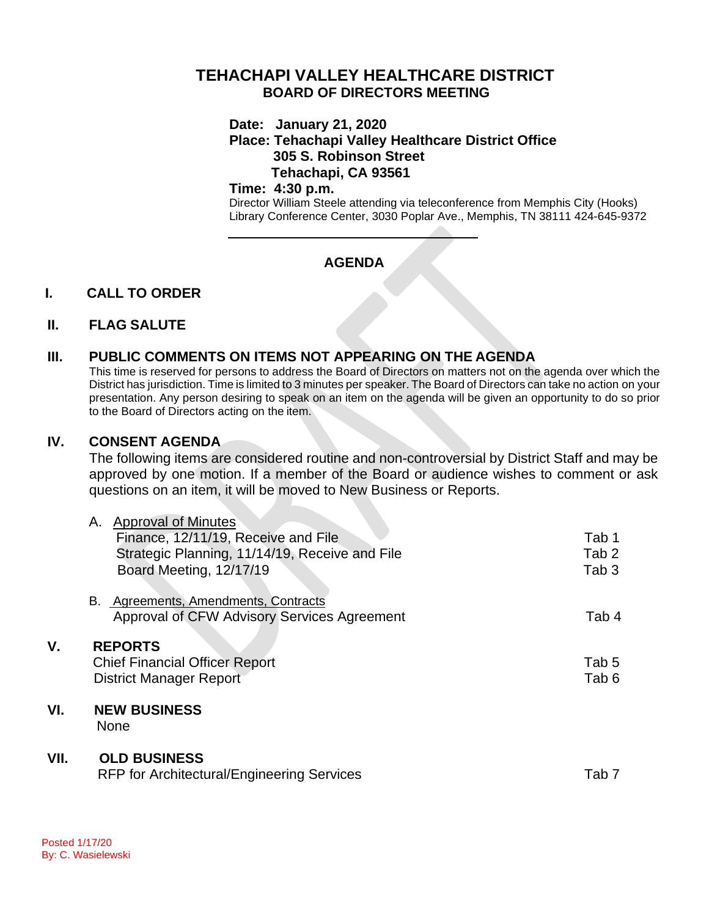# **TEHACHAPI VALLEY HEALTHCARE DISTRICT BOARD OF DIRECTORS MEETING**

### **Date: January 21, 2020**

## **Place: Tehachapi Valley Healthcare District Office 305 S. Robinson Street Tehachapi, CA 93561**

#### **Time: 4:30 p.m.**

Director William Steele attending via teleconference from Memphis City (Hooks) Library Conference Center, 3030 Poplar Ave., Memphis, TN 38111 424-645-9372

## **AGENDA**

## **I. CALL TO ORDER**

### **II. FLAG SALUTE**

## **III. PUBLIC COMMENTS ON ITEMS NOT APPEARING ON THE AGENDA**

This time is reserved for persons to address the Board of Directors on matters not on the agenda over which the District has jurisdiction. Time is limited to 3 minutes per speaker. The Board of Directors can take no action on your presentation. Any person desiring to speak on an item on the agenda will be given an opportunity to do so prior to the Board of Directors acting on the item.

### **IV. CONSENT AGENDA**

The following items are considered routine and non-controversial by District Staff and may be approved by one motion. If a member of the Board or audience wishes to comment or ask questions on an item, it will be moved to New Business or Reports.

|      | <b>Approval of Minutes</b><br>А.                  |                  |
|------|---------------------------------------------------|------------------|
|      | Finance, 12/11/19, Receive and File               | Tab 1            |
|      | Strategic Planning, 11/14/19, Receive and File    | Tab 2            |
|      | Board Meeting, 12/17/19                           | Tab 3            |
|      |                                                   |                  |
|      | Agreements, Amendments, Contracts<br>В.           |                  |
|      | Approval of CFW Advisory Services Agreement       | Tab 4            |
| ۷.   | <b>REPORTS</b>                                    |                  |
|      |                                                   |                  |
|      | <b>Chief Financial Officer Report</b>             | Tab 5            |
|      | <b>District Manager Report</b>                    | Tab <sub>6</sub> |
| VI.  | <b>NEW BUSINESS</b>                               |                  |
|      | <b>None</b>                                       |                  |
|      |                                                   |                  |
| VII. | <b>OLD BUSINESS</b>                               |                  |
|      | <b>RFP for Architectural/Engineering Services</b> | Tab <sub>7</sub> |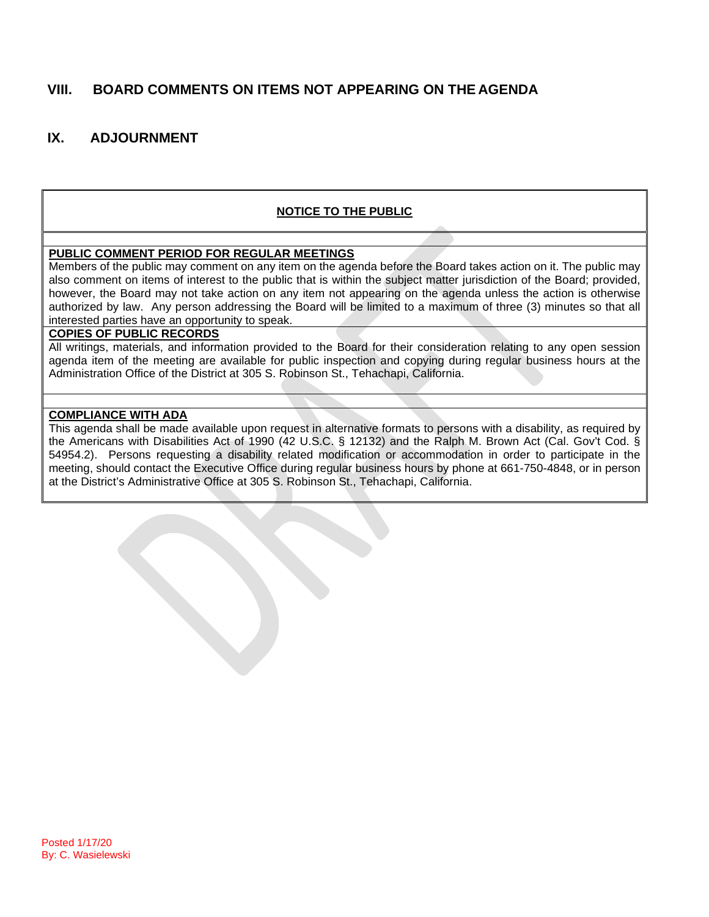## **VIII. BOARD COMMENTS ON ITEMS NOT APPEARING ON THE AGENDA**

## **IX. ADJOURNMENT**

### **NOTICE TO THE PUBLIC**

#### **PUBLIC COMMENT PERIOD FOR REGULAR MEETINGS**

Members of the public may comment on any item on the agenda before the Board takes action on it. The public may also comment on items of interest to the public that is within the subject matter jurisdiction of the Board; provided, however, the Board may not take action on any item not appearing on the agenda unless the action is otherwise authorized by law. Any person addressing the Board will be limited to a maximum of three (3) minutes so that all interested parties have an opportunity to speak.

### **COPIES OF PUBLIC RECORDS**

All writings, materials, and information provided to the Board for their consideration relating to any open session agenda item of the meeting are available for public inspection and copying during regular business hours at the Administration Office of the District at 305 S. Robinson St., Tehachapi, California.

#### **COMPLIANCE WITH ADA**

This agenda shall be made available upon request in alternative formats to persons with a disability, as required by the Americans with Disabilities Act of 1990 (42 U.S.C. § 12132) and the Ralph M. Brown Act (Cal. Gov't Cod. § 54954.2). Persons requesting a disability related modification or accommodation in order to participate in the meeting, should contact the Executive Office during regular business hours by phone at 661-750-4848, or in person at the District's Administrative Office at 305 S. Robinson St., Tehachapi, California.